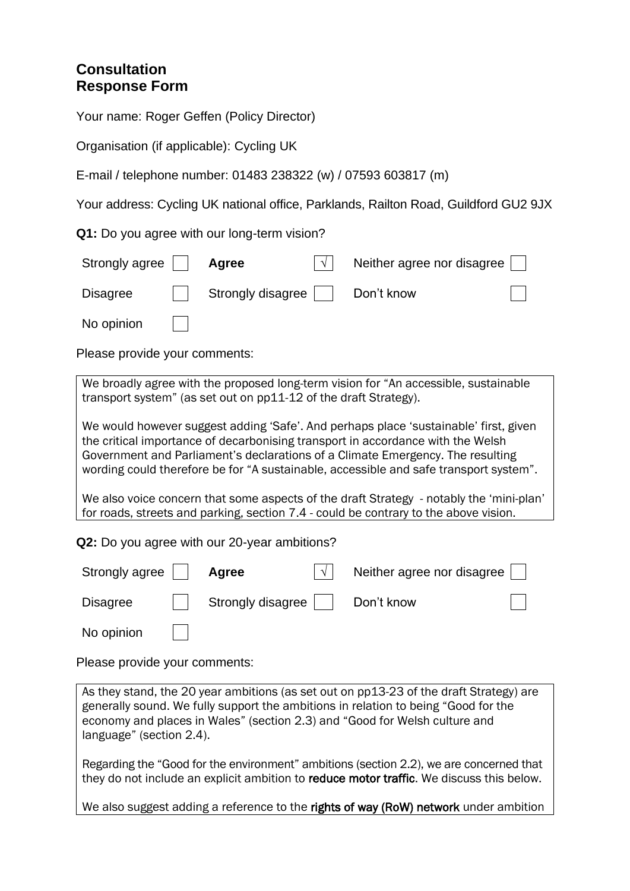# **Consultation Response Form**

Your name: Roger Geffen (Policy Director)

Organisation (if applicable): Cycling UK

E-mail / telephone number: 01483 238322 (w) / 07593 603817 (m)

Your address: Cycling UK national office, Parklands, Railton Road, Guildford GU2 9JX

**Q1:** Do you agree with our long-term vision?

| Strongly agree  | Agree             | Neither agree nor disagree |  |
|-----------------|-------------------|----------------------------|--|
| <b>Disagree</b> | Strongly disagree | Don't know                 |  |
| No opinion      |                   |                            |  |

Please provide your comments:

We broadly agree with the proposed long-term vision for "An accessible, sustainable transport system" (as set out on pp11-12 of the draft Strategy).

We would however suggest adding 'Safe'. And perhaps place 'sustainable' first, given the critical importance of decarbonising transport in accordance with the Welsh Government and Parliament's declarations of a Climate Emergency. The resulting wording could therefore be for "A sustainable, accessible and safe transport system".

We also voice concern that some aspects of the draft Strategy - notably the 'mini-plan' for roads, streets and parking, section 7.4 - could be contrary to the above vision.

**Q2:** Do you agree with our 20-year ambitions?

| Strongly agree  | Agree             | Neither agree nor disagree |  |
|-----------------|-------------------|----------------------------|--|
| <b>Disagree</b> | Strongly disagree | Don't know                 |  |
| No opinion      |                   |                            |  |

Please provide your comments:

As they stand, the 20 year ambitions (as set out on pp13-23 of the draft Strategy) are generally sound. We fully support the ambitions in relation to being "Good for the economy and places in Wales" (section 2.3) and "Good for Welsh culture and language" (section 2.4).

Regarding the "Good for the environment" ambitions (section 2.2), we are concerned that they do not include an explicit ambition to reduce motor traffic. We discuss this below.

We also suggest adding a reference to the rights of way (RoW) network under ambition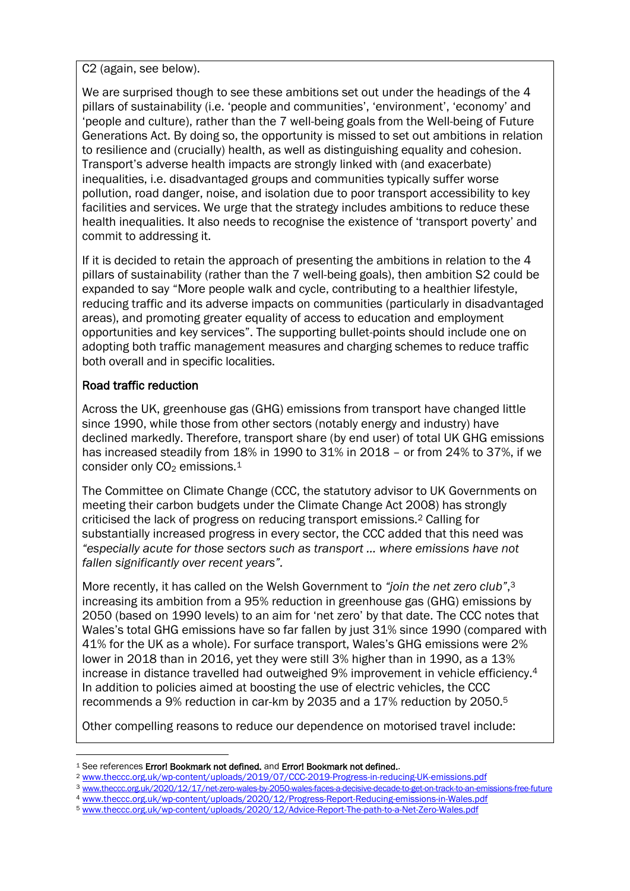C2 (again, see below).

We are surprised though to see these ambitions set out under the headings of the 4 pillars of sustainability (i.e. 'people and communities', 'environment', 'economy' and 'people and culture), rather than the 7 well-being goals from the Well-being of Future Generations Act. By doing so, the opportunity is missed to set out ambitions in relation to resilience and (crucially) health, as well as distinguishing equality and cohesion. Transport's adverse health impacts are strongly linked with (and exacerbate) inequalities, i.e. disadvantaged groups and communities typically suffer worse pollution, road danger, noise, and isolation due to poor transport accessibility to key facilities and services. We urge that the strategy includes ambitions to reduce these health inequalities. It also needs to recognise the existence of 'transport poverty' and commit to addressing it.

If it is decided to retain the approach of presenting the ambitions in relation to the 4 pillars of sustainability (rather than the 7 well-being goals), then ambition S2 could be expanded to say "More people walk and cycle, contributing to a healthier lifestyle, reducing traffic and its adverse impacts on communities (particularly in disadvantaged areas), and promoting greater equality of access to education and employment opportunities and key services". The supporting bullet-points should include one on adopting both traffic management measures and charging schemes to reduce traffic both overall and in specific localities.

### Road traffic reduction

Across the UK, greenhouse gas (GHG) emissions from transport have changed little since 1990, while those from other sectors (notably energy and industry) have declined markedly. Therefore, transport share (by end user) of total UK GHG emissions has increased steadily from 18% in 1990 to 31% in 2018 – or from 24% to 37%, if we consider only  $CO<sub>2</sub>$  emissions.<sup>1</sup>

The Committee on Climate Change (CCC, the statutory advisor to UK Governments on meeting their carbon budgets under the Climate Change Act 2008) has strongly criticised the lack of progress on reducing transport emissions.<sup>2</sup> Calling for substantially increased progress in every sector, the CCC added that this need was *"especially acute for those sectors such as transport … where emissions have not fallen significantly over recent years".*

More recently, it has called on the Welsh Government to *"join the net zero club"*, 3 increasing its ambition from a 95% reduction in greenhouse gas (GHG) emissions by 2050 (based on 1990 levels) to an aim for 'net zero' by that date. The CCC notes that Wales's total GHG emissions have so far fallen by just 31% since 1990 (compared with 41% for the UK as a whole). For surface transport, Wales's GHG emissions were 2% lower in 2018 than in 2016, yet they were still 3% higher than in 1990, as a 13% increase in distance travelled had outweighed 9% improvement in vehicle efficiency.<sup>4</sup> In addition to policies aimed at boosting the use of electric vehicles, the CCC recommends a 9% reduction in car-km by 2035 and a 17% reduction by 2050.<sup>5</sup>

Other compelling reasons to reduce our dependence on motorised travel include:

<sup>&</sup>lt;sup>1</sup> See references Error! Bookmark not defined, and Error! Bookmark not defined..

<sup>2</sup> [www.theccc.org.uk/wp-content/uploads/2019/07/CCC-2019-Progress-in-reducing-UK-emissions.pdf](http://www.theccc.org.uk/wp-content/uploads/2019/07/CCC-2019-Progress-in-reducing-UK-emissions.pdf)

<sup>3</sup> [www.theccc.org.uk/2020/12/17/net-zero-wales-by-2050-wales-faces-a-decisive-decade-to-get-on-track-to-an-emissions-free-future](http://www.theccc.org.uk/2020/12/17/net-zero-wales-by-2050-wales-faces-a-decisive-decade-to-get-on-track-to-an-emissions-free-future)

<sup>4</sup> [www.theccc.org.uk/wp-content/uploads/2020/12/Progress-Report-Reducing-emissions-in-Wales.pdf](http://www.theccc.org.uk/wp-content/uploads/2020/12/Progress-Report-Reducing-emissions-in-Wales.pdf)

<sup>5</sup> [www.theccc.org.uk/wp-content/uploads/2020/12/Advice-Report-The-path-to-a-Net-Zero-Wales.pdf](http://www.theccc.org.uk/wp-content/uploads/2020/12/Advice-Report-The-path-to-a-Net-Zero-Wales.pdf)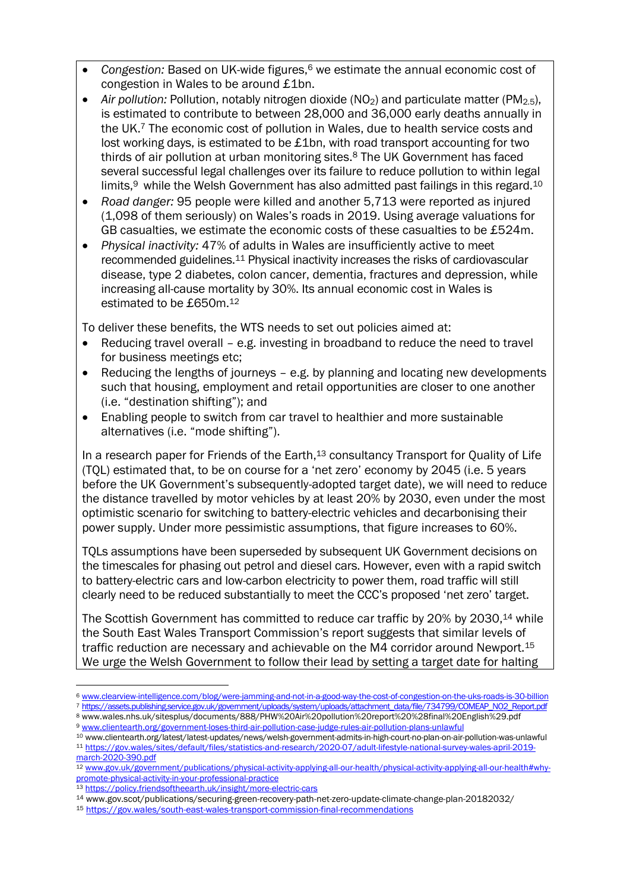- *Congestion:* Based on UK-wide figures, <sup>6</sup> we estimate the annual economic cost of congestion in Wales to be around £1bn.
- Air pollution: Pollution, notably nitrogen dioxide (NO<sub>2</sub>) and particulate matter (PM<sub>2.5</sub>), is estimated to contribute to between 28,000 and 36,000 early deaths annually in the UK.<sup>7</sup> The economic cost of pollution in Wales, due to health service costs and lost working days, is estimated to be £1bn, with road transport accounting for two thirds of air pollution at urban monitoring sites.<sup>8</sup> The UK Government has faced several successful legal challenges over its failure to reduce pollution to within legal limits,<sup>9</sup> while the Welsh Government has also admitted past failings in this regard.<sup>10</sup>
- *Road danger:* 95 people were killed and another 5,713 were reported as injured (1,098 of them seriously) on Wales's roads in 2019. Using average valuations for GB casualties, we estimate the economic costs of these casualties to be £524m.
- *Physical inactivity:* 47% of adults in Wales are insufficiently active to meet recommended guidelines.<sup>11</sup> Physical inactivity increases the risks of cardiovascular disease, type 2 diabetes, colon cancer, dementia, fractures and depression, while increasing all-cause mortality by 30%. Its annual economic cost in Wales is estimated to be £650m. 12

To deliver these benefits, the WTS needs to set out policies aimed at:

- Reducing travel overall e.g. investing in broadband to reduce the need to travel for business meetings etc;
- Reducing the lengths of journeys e.g. by planning and locating new developments such that housing, employment and retail opportunities are closer to one another (i.e. "destination shifting"); and
- Enabling people to switch from car travel to healthier and more sustainable alternatives (i.e. "mode shifting").

In a research paper for Friends of the Earth,<sup>13</sup> consultancy Transport for Quality of Life (TQL) estimated that, to be on course for a 'net zero' economy by 2045 (i.e. 5 years before the UK Government's subsequently-adopted target date), we will need to reduce the distance travelled by motor vehicles by at least 20% by 2030, even under the most optimistic scenario for switching to battery-electric vehicles and decarbonising their power supply. Under more pessimistic assumptions, that figure increases to 60%.

TQLs assumptions have been superseded by subsequent UK Government decisions on the timescales for phasing out petrol and diesel cars. However, even with a rapid switch to battery-electric cars and low-carbon electricity to power them, road traffic will still clearly need to be reduced substantially to meet the CCC's proposed 'net zero' target.

The Scottish Government has committed to reduce car traffic by 20% by 2030,<sup>14</sup> while the South East Wales Transport Commission's report suggests that similar levels of traffic reduction are necessary and achievable on the M4 corridor around Newport.<sup>15</sup> We urge the Welsh Government to follow their lead by setting a target date for halting

<sup>6</sup> [www.clearview-intelligence.com/blog/were-jamming-and-not-in-a-good-way-the-cost-of-congestion-on-the-uks-roads-is-30-billion](http://www.clearview-intelligence.com/blog/were-jamming-and-not-in-a-good-way-the-cost-of-congestion-on-the-uks-roads-is-30-billion) <sup>7</sup> [https://assets.publishing.service.gov.uk/government/uploads/system/uploads/attachment\\_data/file/734799/COMEAP\\_NO2\\_Report.pdf](https://assets.publishing.service.gov.uk/government/uploads/system/uploads/attachment_data/file/734799/COMEAP_NO2_Report.pdf)

<sup>8</sup> www.wales.nhs.uk/sitesplus/documents/888/PHW%20Air%20pollution%20report%20%28final%20English%29.pdf <sup>9</sup> [www.clientearth.org/government-loses-third-air-pollution-case-judge-rules-air-pollution-plans-unlawful](http://www.clientearth.org/government-loses-third-air-pollution-case-judge-rules-air-pollution-plans-unlawful/)

<sup>10</sup> www.clientearth.org/latest/latest-updates/news/welsh-government-admits-in-high-court-no-plan-on-air-pollution-was-unlawful <sup>11</sup> [https://gov.wales/sites/default/files/statistics-and-research/2020-07/adult-lifestyle-national-survey-wales-april-2019-](https://gov.wales/sites/default/files/statistics-and-research/2020-07/adult-lifestyle-national-survey-wales-april-2019-march-2020-390.pdf)

[march-2020-390.pdf](https://gov.wales/sites/default/files/statistics-and-research/2020-07/adult-lifestyle-national-survey-wales-april-2019-march-2020-390.pdf) 12 [www.gov.uk/government/publications/physical-activity-applying-all-our-health/physical-activity-applying-all-our-health#why-](http://www.gov.uk/government/publications/physical-activity-applying-all-our-health/physical-activity-applying-all-our-health#why-promote-physical-activity-in-your-professional-practice)

[promote-physical-activity-in-your-professional-practice](http://www.gov.uk/government/publications/physical-activity-applying-all-our-health/physical-activity-applying-all-our-health#why-promote-physical-activity-in-your-professional-practice) <sup>13</sup> <https://policy.friendsoftheearth.uk/insight/more-electric-cars>

<sup>14</sup> www.gov.scot/publications/securing-green-recovery-path-net-zero-update-climate-change-plan-20182032/

<sup>15</sup> <https://gov.wales/south-east-wales-transport-commission-final-recommendations>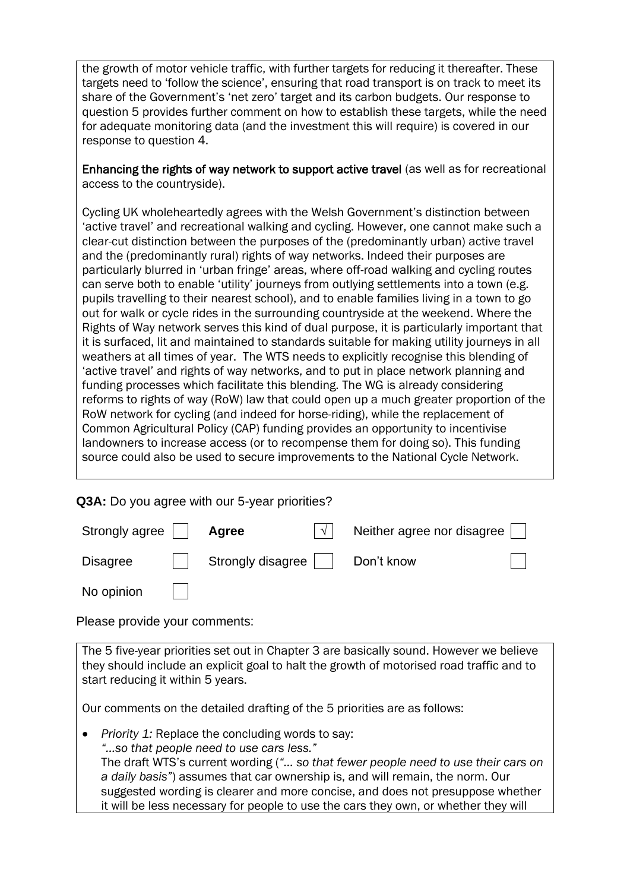the growth of motor vehicle traffic, with further targets for reducing it thereafter. These targets need to 'follow the science', ensuring that road transport is on track to meet its share of the Government's 'net zero' target and its carbon budgets. Our response to question 5 provides further comment on how to establish these targets, while the need for adequate monitoring data (and the investment this will require) is covered in our response to question 4.

Enhancing the rights of way network to support active travel (as well as for recreational access to the countryside).

Cycling UK wholeheartedly agrees with the Welsh Government's distinction between 'active travel' and recreational walking and cycling. However, one cannot make such a clear-cut distinction between the purposes of the (predominantly urban) active travel and the (predominantly rural) rights of way networks. Indeed their purposes are particularly blurred in 'urban fringe' areas, where off-road walking and cycling routes can serve both to enable 'utility' journeys from outlying settlements into a town (e.g. pupils travelling to their nearest school), and to enable families living in a town to go out for walk or cycle rides in the surrounding countryside at the weekend. Where the Rights of Way network serves this kind of dual purpose, it is particularly important that it is surfaced, lit and maintained to standards suitable for making utility journeys in all weathers at all times of year. The WTS needs to explicitly recognise this blending of 'active travel' and rights of way networks, and to put in place network planning and funding processes which facilitate this blending. The WG is already considering reforms to rights of way (RoW) law that could open up a much greater proportion of the RoW network for cycling (and indeed for horse-riding), while the replacement of Common Agricultural Policy (CAP) funding provides an opportunity to incentivise landowners to increase access (or to recompense them for doing so). This funding source could also be used to secure improvements to the National Cycle Network.

|  |  | Q3A: Do you agree with our 5-year priorities? |
|--|--|-----------------------------------------------|
|  |  |                                               |

| Strongly agree  | Agree             | Neither agree nor disagree |
|-----------------|-------------------|----------------------------|
| <b>Disagree</b> | Strongly disagree | Don't know                 |
| No opinion      |                   |                            |

Please provide your comments:

The 5 five-year priorities set out in Chapter 3 are basically sound. However we believe they should include an explicit goal to halt the growth of motorised road traffic and to start reducing it within 5 years.

Our comments on the detailed drafting of the 5 priorities are as follows:

• *Priority 1:* Replace the concluding words to say: *"…so that people need to use cars less."* The draft WTS's current wording (*"… so that fewer people need to use their cars on a daily basis"*) assumes that car ownership is, and will remain, the norm. Our suggested wording is clearer and more concise, and does not presuppose whether it will be less necessary for people to use the cars they own, or whether they will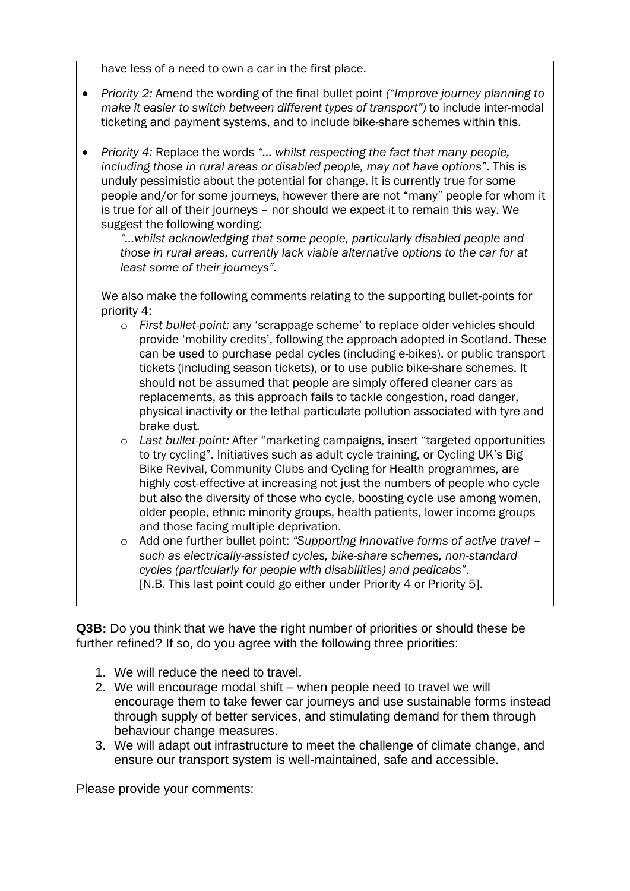have less of a need to own a car in the first place.

- *Priority 2:* Amend the wording of the final bullet point *("Improve journey planning to make it easier to switch between different types of transport")* to include inter-modal ticketing and payment systems, and to include bike-share schemes within this.
- *Priority 4:* Replace the words *"… whilst respecting the fact that many people, including those in rural areas or disabled people, may not have options"*. This is unduly pessimistic about the potential for change. It is currently true for some people and/or for some journeys, however there are not "many" people for whom it is true for all of their journeys – nor should we expect it to remain this way. We suggest the following wording:

*"…whilst acknowledging that some people, particularly disabled people and those in rural areas, currently lack viable alternative options to the car for at least some of their journeys".*

We also make the following comments relating to the supporting bullet-points for priority 4:

- o *First bullet-point:* any 'scrappage scheme' to replace older vehicles should provide 'mobility credits', following the approach adopted in Scotland. These can be used to purchase pedal cycles (including e-bikes), or public transport tickets (including season tickets), or to use public bike-share schemes. It should not be assumed that people are simply offered cleaner cars as replacements, as this approach fails to tackle congestion, road danger, physical inactivity or the lethal particulate pollution associated with tyre and brake dust.
- o *Last bullet-point:* After "marketing campaigns, insert "targeted opportunities to try cycling". Initiatives such as adult cycle training, or Cycling UK's Big Bike Revival, Community Clubs and Cycling for Health programmes, are highly cost-effective at increasing not just the numbers of people who cycle but also the diversity of those who cycle, boosting cycle use among women, older people, ethnic minority groups, health patients, lower income groups and those facing multiple deprivation.
- o Add one further bullet point: *"Supporting innovative forms of active travel – such as electrically-assisted cycles, bike-share schemes, non-standard cycles (particularly for people with disabilities) and pedicabs"*. [N.B. This last point could go either under Priority 4 or Priority 5].

**Q3B:** Do you think that we have the right number of priorities or should these be further refined? If so, do you agree with the following three priorities:

- 1. We will reduce the need to travel.
- 2. We will encourage modal shift when people need to travel we will encourage them to take fewer car journeys and use sustainable forms instead through supply of better services, and stimulating demand for them through behaviour change measures.
- 3. We will adapt out infrastructure to meet the challenge of climate change, and ensure our transport system is well-maintained, safe and accessible.

Please provide your comments: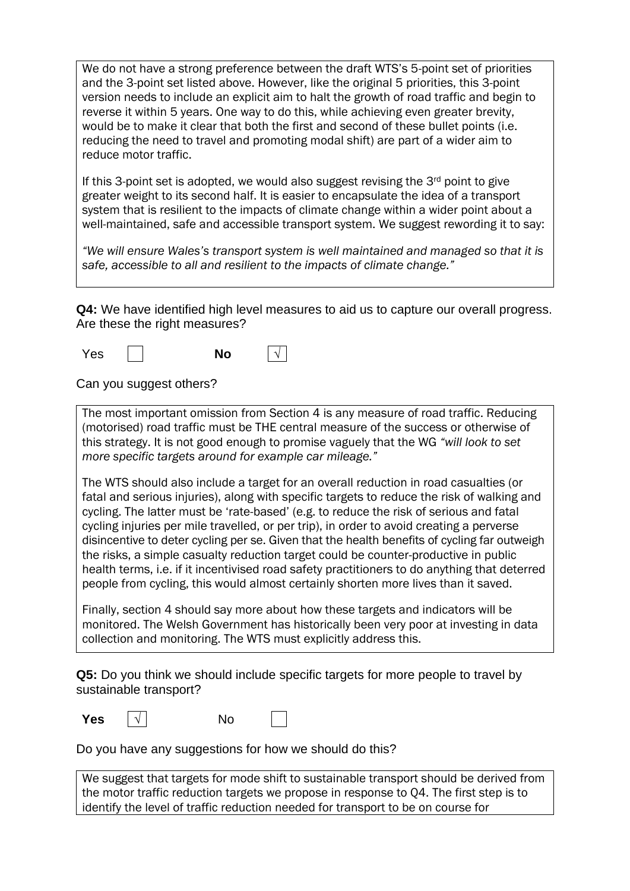We do not have a strong preference between the draft WTS's 5-point set of priorities and the 3-point set listed above. However, like the original 5 priorities, this 3-point version needs to include an explicit aim to halt the growth of road traffic and begin to reverse it within 5 years. One way to do this, while achieving even greater brevity, would be to make it clear that both the first and second of these bullet points (i.e. reducing the need to travel and promoting modal shift) are part of a wider aim to reduce motor traffic.

If this 3-point set is adopted, we would also suggest revising the  $3<sup>rd</sup>$  point to give greater weight to its second half. It is easier to encapsulate the idea of a transport system that is resilient to the impacts of climate change within a wider point about a well-maintained, safe and accessible transport system. We suggest rewording it to say:

*"We will ensure Wales's transport system is well maintained and managed so that it is safe, accessible to all and resilient to the impacts of climate change."*

**Q4:** We have identified high level measures to aid us to capture our overall progress. Are these the right measures?

Yes **No √**

Can you suggest others?

The most important omission from Section 4 is any measure of road traffic. Reducing (motorised) road traffic must be THE central measure of the success or otherwise of this strategy. It is not good enough to promise vaguely that the WG *"will look to set more specific targets around for example car mileage."*

The WTS should also include a target for an overall reduction in road casualties (or fatal and serious injuries), along with specific targets to reduce the risk of walking and cycling. The latter must be 'rate-based' (e.g. to reduce the risk of serious and fatal cycling injuries per mile travelled, or per trip), in order to avoid creating a perverse disincentive to deter cycling per se. Given that the health benefits of cycling far outweigh the risks, a simple casualty reduction target could be counter-productive in public health terms, i.e. if it incentivised road safety practitioners to do anything that deterred people from cycling, this would almost certainly shorten more lives than it saved.

Finally, section 4 should say more about how these targets and indicators will be monitored. The Welsh Government has historically been very poor at investing in data collection and monitoring. The WTS must explicitly address this.

**Q5:** Do you think we should include specific targets for more people to travel by sustainable transport?

**Yes**  $\vert \sqrt{} \vert$  No

Do you have any suggestions for how we should do this?

We suggest that targets for mode shift to sustainable transport should be derived from the motor traffic reduction targets we propose in response to Q4. The first step is to identify the level of traffic reduction needed for transport to be on course for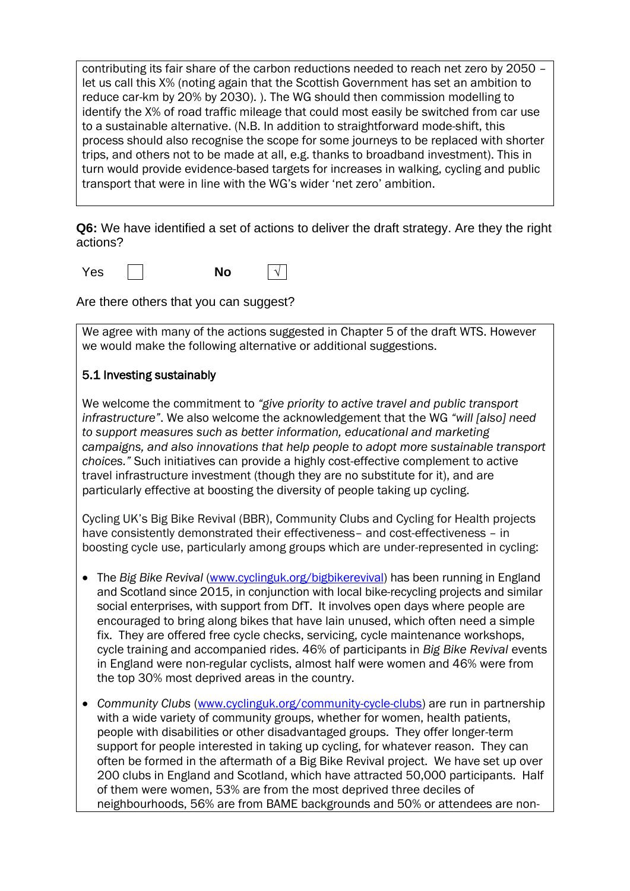contributing its fair share of the carbon reductions needed to reach net zero by 2050 – let us call this X% (noting again that the Scottish Government has set an ambition to reduce car-km by 20% by 2030). ). The WG should then commission modelling to identify the X% of road traffic mileage that could most easily be switched from car use to a sustainable alternative. (N.B. In addition to straightforward mode-shift, this process should also recognise the scope for some journeys to be replaced with shorter trips, and others not to be made at all, e.g. thanks to broadband investment). This in turn would provide evidence-based targets for increases in walking, cycling and public transport that were in line with the WG's wider 'net zero' ambition.

**Q6:** We have identified a set of actions to deliver the draft strategy. Are they the right actions?

Yes **I** No  $\vert \sqrt{}$ 

Are there others that you can suggest?

We agree with many of the actions suggested in Chapter 5 of the draft WTS. However we would make the following alternative or additional suggestions.

#### 5.1 Investing sustainably

We welcome the commitment to *"give priority to active travel and public transport infrastructure"*. We also welcome the acknowledgement that the WG *"will [also] need to support measures such as better information, educational and marketing campaigns, and also innovations that help people to adopt more sustainable transport choices."* Such initiatives can provide a highly cost-effective complement to active travel infrastructure investment (though they are no substitute for it), and are particularly effective at boosting the diversity of people taking up cycling.

Cycling UK's Big Bike Revival (BBR), Community Clubs and Cycling for Health projects have consistently demonstrated their effectiveness– and cost-effectiveness – in boosting cycle use, particularly among groups which are under-represented in cycling:

- The *Big Bike Revival* [\(www.cyclinguk.org/bigbikerevival\)](http://www.cyclinguk.org/bigbikerevival) has been running in England and Scotland since 2015, in conjunction with local bike-recycling projects and similar social enterprises, with support from DfT. It involves open days where people are encouraged to bring along bikes that have lain unused, which often need a simple fix. They are offered free cycle checks, servicing, cycle maintenance workshops, cycle training and accompanied rides. 46% of participants in *Big Bike Revival* events in England were non-regular cyclists, almost half were women and 46% were from the top 30% most deprived areas in the country.
- *Community Clubs* [\(www.cyclinguk.org/community-cycle-clubs\)](http://www.cyclinguk.org/community-cycle-clubs) are run in partnership with a wide variety of community groups, whether for women, health patients, people with disabilities or other disadvantaged groups. They offer longer-term support for people interested in taking up cycling, for whatever reason. They can often be formed in the aftermath of a Big Bike Revival project. We have set up over 200 clubs in England and Scotland, which have attracted 50,000 participants. Half of them were women, 53% are from the most deprived three deciles of neighbourhoods, 56% are from BAME backgrounds and 50% or attendees are non-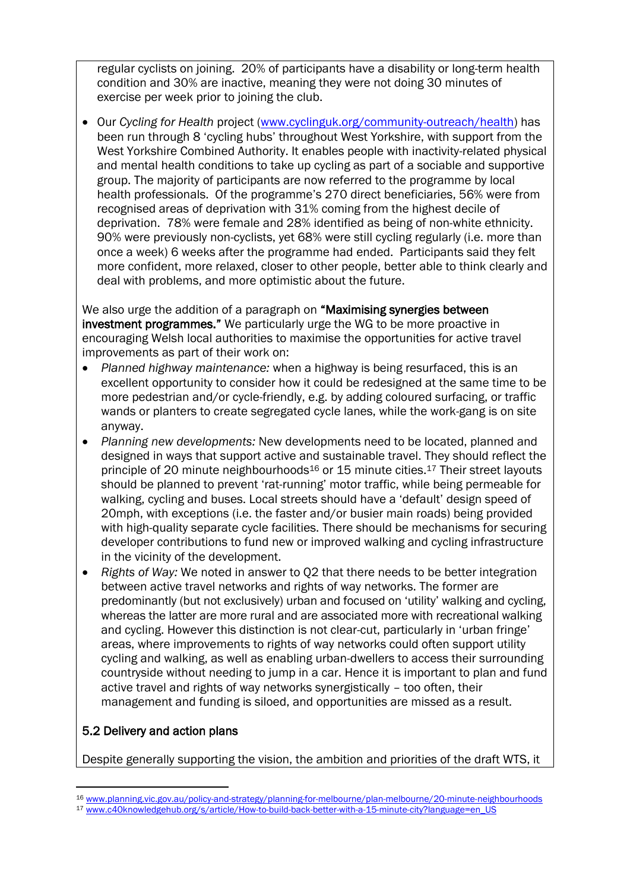regular cyclists on joining. 20% of participants have a disability or long-term health condition and 30% are inactive, meaning they were not doing 30 minutes of exercise per week prior to joining the club.

• Our *Cycling for Health* project [\(www.cyclinguk.org/community-outreach/health\)](http://www.cyclinguk.org/community-outreach/health) has been run through 8 'cycling hubs' throughout West Yorkshire, with support from the West Yorkshire Combined Authority. It enables people with inactivity-related physical and mental health conditions to take up cycling as part of a sociable and supportive group. The majority of participants are now referred to the programme by local health professionals. Of the programme's 270 direct beneficiaries, 56% were from recognised areas of deprivation with 31% coming from the highest decile of deprivation. 78% were female and 28% identified as being of non-white ethnicity. 90% were previously non-cyclists, yet 68% were still cycling regularly (i.e. more than once a week) 6 weeks after the programme had ended. Participants said they felt more confident, more relaxed, closer to other people, better able to think clearly and deal with problems, and more optimistic about the future.

We also urge the addition of a paragraph on "Maximising synergies between" investment programmes." We particularly urge the WG to be more proactive in encouraging Welsh local authorities to maximise the opportunities for active travel improvements as part of their work on:

- *Planned highway maintenance:* when a highway is being resurfaced, this is an excellent opportunity to consider how it could be redesigned at the same time to be more pedestrian and/or cycle-friendly, e.g. by adding coloured surfacing, or traffic wands or planters to create segregated cycle lanes, while the work-gang is on site anyway.
- *Planning new developments:* New developments need to be located, planned and designed in ways that support active and sustainable travel. They should reflect the principle of 20 minute neighbourhoods<sup>16</sup> or 15 minute cities.<sup>17</sup> Their street layouts should be planned to prevent 'rat-running' motor traffic, while being permeable for walking, cycling and buses. Local streets should have a 'default' design speed of 20mph, with exceptions (i.e. the faster and/or busier main roads) being provided with high-quality separate cycle facilities. There should be mechanisms for securing developer contributions to fund new or improved walking and cycling infrastructure in the vicinity of the development.
- *Rights of Way:* We noted in answer to Q2 that there needs to be better integration between active travel networks and rights of way networks. The former are predominantly (but not exclusively) urban and focused on 'utility' walking and cycling, whereas the latter are more rural and are associated more with recreational walking and cycling. However this distinction is not clear-cut, particularly in 'urban fringe' areas, where improvements to rights of way networks could often support utility cycling and walking, as well as enabling urban-dwellers to access their surrounding countryside without needing to jump in a car. Hence it is important to plan and fund active travel and rights of way networks synergistically – too often, their management and funding is siloed, and opportunities are missed as a result.

### 5.2 Delivery and action plans

Despite generally supporting the vision, the ambition and priorities of the draft WTS, it

<sup>16</sup> [www.planning.vic.gov.au/policy-and-strategy/planning-for-melbourne/plan-melbourne/20-minute-neighbourhoods](http://www.planning.vic.gov.au/policy-and-strategy/planning-for-melbourne/plan-melbourne/20-minute-neighbourhoods)

<sup>17</sup> [www.c40knowledgehub.org/s/article/How-to-build-back-better-with-a-15-minute-city?language=en\\_US](http://www.c40knowledgehub.org/s/article/How-to-build-back-better-with-a-15-minute-city?language=en_US)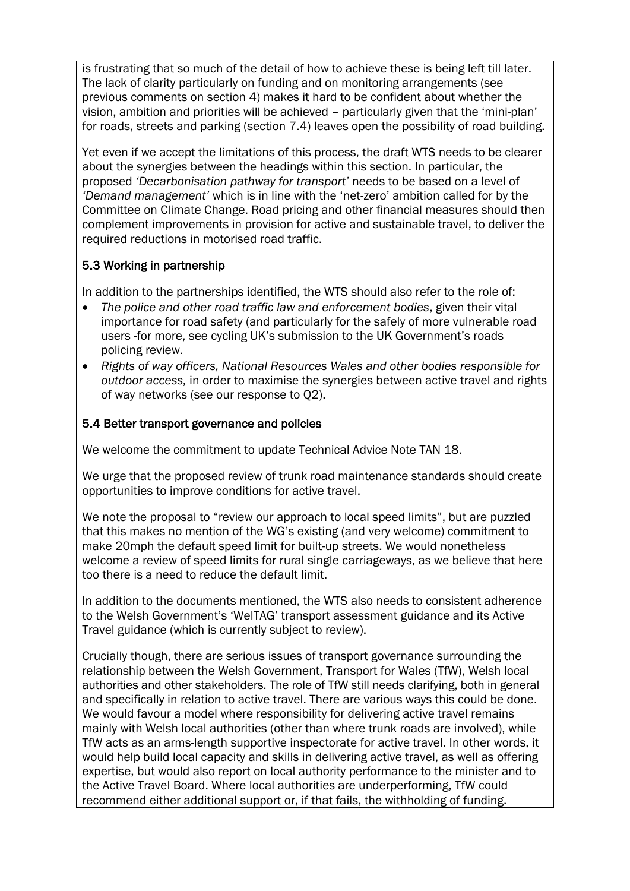is frustrating that so much of the detail of how to achieve these is being left till later. The lack of clarity particularly on funding and on monitoring arrangements (see previous comments on section 4) makes it hard to be confident about whether the vision, ambition and priorities will be achieved – particularly given that the 'mini-plan' for roads, streets and parking (section 7.4) leaves open the possibility of road building.

Yet even if we accept the limitations of this process, the draft WTS needs to be clearer about the synergies between the headings within this section. In particular, the proposed *'Decarbonisation pathway for transport'* needs to be based on a level of *'Demand management'* which is in line with the 'net-zero' ambition called for by the Committee on Climate Change. Road pricing and other financial measures should then complement improvements in provision for active and sustainable travel, to deliver the required reductions in motorised road traffic.

### 5.3 Working in partnership

In addition to the partnerships identified, the WTS should also refer to the role of:

- *The police and other road traffic law and enforcement bodies*, given their vital importance for road safety (and particularly for the safely of more vulnerable road users -for more, see cycling UK's submission to the UK Government's roads policing review.
- *Rights of way officers, National Resources Wales and other bodies responsible for outdoor access,* in order to maximise the synergies between active travel and rights of way networks (see our response to Q2).

### 5.4 Better transport governance and policies

We welcome the commitment to update Technical Advice Note TAN 18.

We urge that the proposed review of trunk road maintenance standards should create opportunities to improve conditions for active travel.

We note the proposal to "review our approach to local speed limits", but are puzzled that this makes no mention of the WG's existing (and very welcome) commitment to make 20mph the default speed limit for built-up streets. We would nonetheless welcome a review of speed limits for rural single carriageways, as we believe that here too there is a need to reduce the default limit.

In addition to the documents mentioned, the WTS also needs to consistent adherence to the Welsh Government's 'WelTAG' transport assessment guidance and its Active Travel guidance (which is currently subject to review).

Crucially though, there are serious issues of transport governance surrounding the relationship between the Welsh Government, Transport for Wales (TfW), Welsh local authorities and other stakeholders. The role of TfW still needs clarifying, both in general and specifically in relation to active travel. There are various ways this could be done. We would favour a model where responsibility for delivering active travel remains mainly with Welsh local authorities (other than where trunk roads are involved), while TfW acts as an arms-length supportive inspectorate for active travel. In other words, it would help build local capacity and skills in delivering active travel, as well as offering expertise, but would also report on local authority performance to the minister and to the Active Travel Board. Where local authorities are underperforming, TfW could recommend either additional support or, if that fails, the withholding of funding.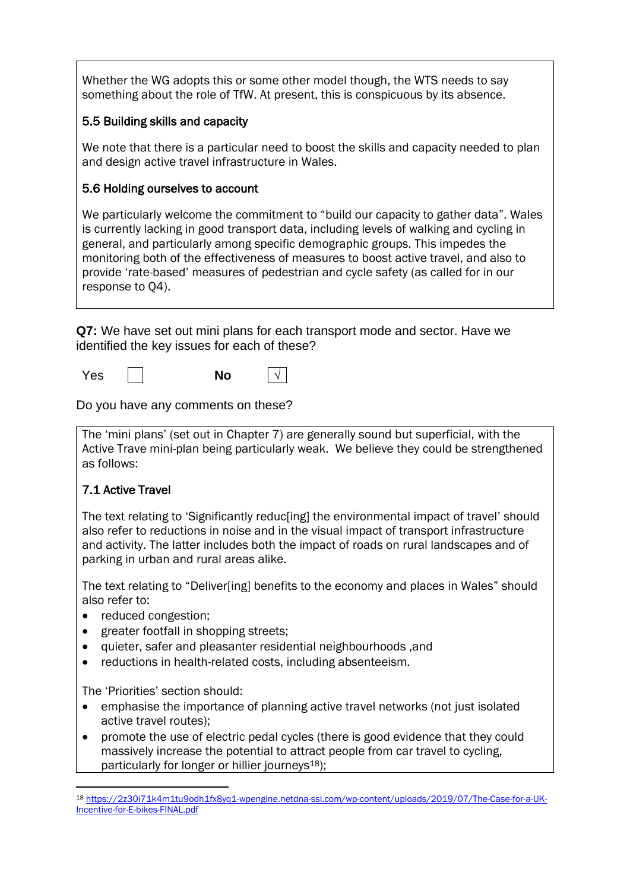Whether the WG adopts this or some other model though, the WTS needs to say something about the role of TfW. At present, this is conspicuous by its absence.

#### 5.5 Building skills and capacity

We note that there is a particular need to boost the skills and capacity needed to plan and design active travel infrastructure in Wales.

#### 5.6 Holding ourselves to account

We particularly welcome the commitment to "build our capacity to gather data". Wales is currently lacking in good transport data, including levels of walking and cycling in general, and particularly among specific demographic groups. This impedes the monitoring both of the effectiveness of measures to boost active travel, and also to provide 'rate-based' measures of pedestrian and cycle safety (as called for in our response to Q4).

**Q7:** We have set out mini plans for each transport mode and sector. Have we identified the key issues for each of these?

Yes **No** √

Do you have any comments on these?

The 'mini plans' (set out in Chapter 7) are generally sound but superficial, with the Active Trave mini-plan being particularly weak. We believe they could be strengthened as follows:

### 7.1 Active Travel

The text relating to 'Significantly reduc[ing] the environmental impact of travel' should also refer to reductions in noise and in the visual impact of transport infrastructure and activity. The latter includes both the impact of roads on rural landscapes and of parking in urban and rural areas alike.

The text relating to "Deliver[ing] benefits to the economy and places in Wales" should also refer to:

- reduced congestion;
- greater footfall in shopping streets;
- quieter, safer and pleasanter residential neighbourhoods ,and
- reductions in health-related costs, including absenteeism.

The 'Priorities' section should:

- emphasise the importance of planning active travel networks (not just isolated active travel routes);
- promote the use of electric pedal cycles (there is good evidence that they could massively increase the potential to attract people from car travel to cycling, particularly for longer or hillier journeys $18$ );

<sup>18</sup> [https://2z30i71k4m1tu9odh1fx8yq1-wpengine.netdna-ssl.com/wp-content/uploads/2019/07/The-Case-for-a-UK-](https://2z30i71k4m1tu9odh1fx8yq1-wpengine.netdna-ssl.com/wp-content/uploads/2019/07/The-Case-for-a-UK-Incentive-for-E-bikes-FINAL.pdf)[Incentive-for-E-bikes-FINAL.pdf](https://2z30i71k4m1tu9odh1fx8yq1-wpengine.netdna-ssl.com/wp-content/uploads/2019/07/The-Case-for-a-UK-Incentive-for-E-bikes-FINAL.pdf)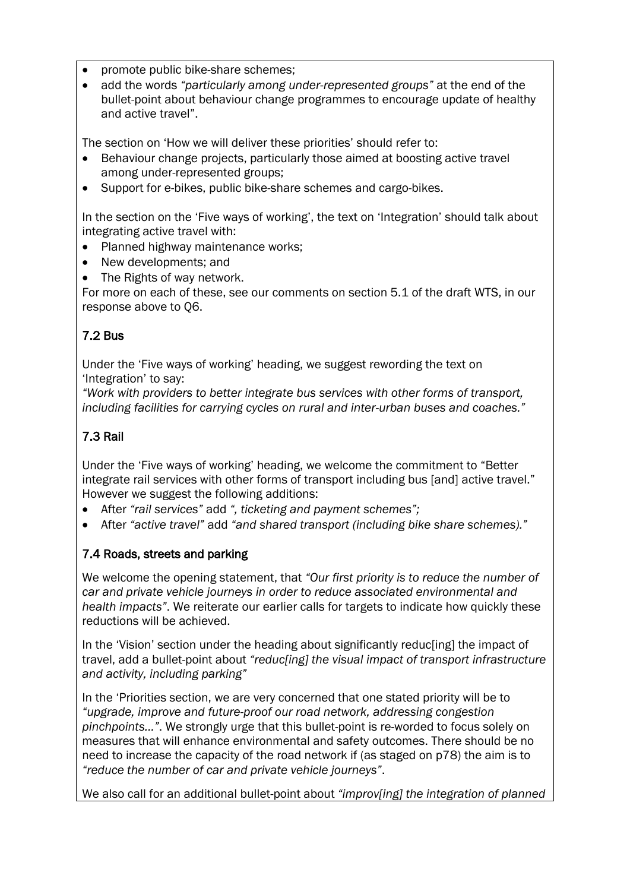- promote public bike-share schemes;
- add the words *"particularly among under-represented groups"* at the end of the bullet-point about behaviour change programmes to encourage update of healthy and active travel".

The section on 'How we will deliver these priorities' should refer to:

- Behaviour change projects, particularly those aimed at boosting active travel among under-represented groups;
- Support for e-bikes, public bike-share schemes and cargo-bikes.

In the section on the 'Five ways of working', the text on 'Integration' should talk about integrating active travel with:

- Planned highway maintenance works:
- New developments; and
- The Rights of way network.

For more on each of these, see our comments on section 5.1 of the draft WTS, in our response above to Q6.

## 7.2 Bus

Under the 'Five ways of working' heading, we suggest rewording the text on 'Integration' to say:

*"Work with providers to better integrate bus services with other forms of transport, including facilities for carrying cycles on rural and inter-urban buses and coaches."*

## 7.3 Rail

Under the 'Five ways of working' heading, we welcome the commitment to "Better integrate rail services with other forms of transport including bus [and] active travel." However we suggest the following additions:

- After *"rail services"* add *", ticketing and payment schemes";*
- After *"active travel"* add *"and shared transport (including bike share schemes)."*

## 7.4 Roads, streets and parking

We welcome the opening statement, that *"Our first priority is to reduce the number of car and private vehicle journeys in order to reduce associated environmental and health impacts"*. We reiterate our earlier calls for targets to indicate how quickly these reductions will be achieved.

In the 'Vision' section under the heading about significantly reduc[ing] the impact of travel, add a bullet-point about *"reduc[ing] the visual impact of transport infrastructure and activity, including parking"*

In the 'Priorities section, we are very concerned that one stated priority will be to *"upgrade, improve and future-proof our road network, addressing congestion pinchpoints..."*. We strongly urge that this bullet-point is re-worded to focus solely on measures that will enhance environmental and safety outcomes. There should be no need to increase the capacity of the road network if (as staged on p78) the aim is to *"reduce the number of car and private vehicle journeys"*.

We also call for an additional bullet-point about *"improv[ing] the integration of planned*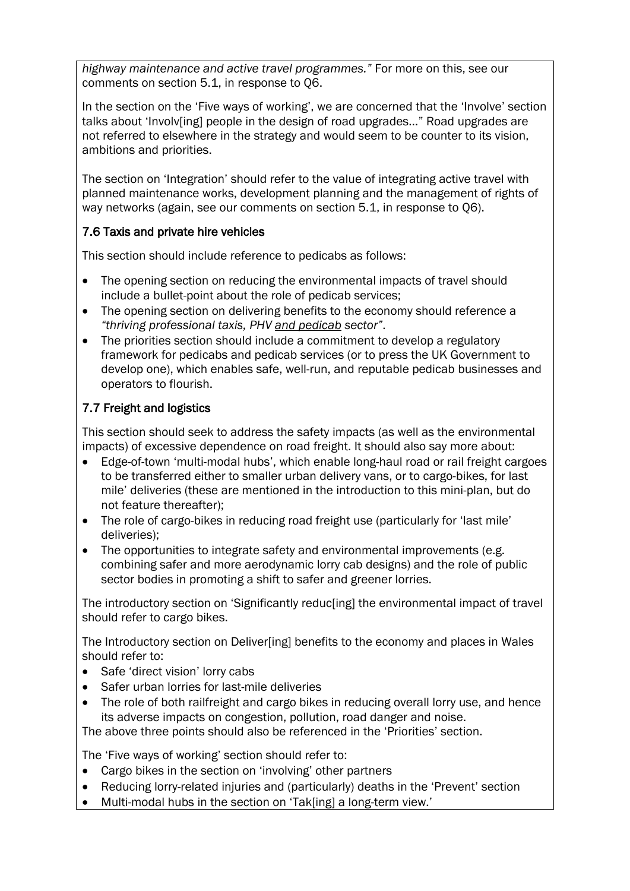*highway maintenance and active travel programmes."* For more on this, see our comments on section 5.1, in response to Q6.

In the section on the 'Five ways of working', we are concerned that the 'Involve' section talks about 'Involv[ing] people in the design of road upgrades…" Road upgrades are not referred to elsewhere in the strategy and would seem to be counter to its vision, ambitions and priorities.

The section on 'Integration' should refer to the value of integrating active travel with planned maintenance works, development planning and the management of rights of way networks (again, see our comments on section 5.1, in response to Q6).

## 7.6 Taxis and private hire vehicles

This section should include reference to pedicabs as follows:

- The opening section on reducing the environmental impacts of travel should include a bullet-point about the role of pedicab services;
- The opening section on delivering benefits to the economy should reference a *"thriving professional taxis, PHV and pedicab sector"*.
- The priorities section should include a commitment to develop a regulatory framework for pedicabs and pedicab services (or to press the UK Government to develop one), which enables safe, well-run, and reputable pedicab businesses and operators to flourish.

## 7.7 Freight and logistics

This section should seek to address the safety impacts (as well as the environmental impacts) of excessive dependence on road freight. It should also say more about:

- Edge-of-town 'multi-modal hubs', which enable long-haul road or rail freight cargoes to be transferred either to smaller urban delivery vans, or to cargo-bikes, for last mile' deliveries (these are mentioned in the introduction to this mini-plan, but do not feature thereafter);
- The role of cargo-bikes in reducing road freight use (particularly for 'last mile' deliveries);
- The opportunities to integrate safety and environmental improvements (e.g. combining safer and more aerodynamic lorry cab designs) and the role of public sector bodies in promoting a shift to safer and greener lorries.

The introductory section on 'Significantly reduc[ing] the environmental impact of travel should refer to cargo bikes.

The Introductory section on Deliver[ing] benefits to the economy and places in Wales should refer to:

- Safe 'direct vision' lorry cabs
- Safer urban lorries for last-mile deliveries
- The role of both railfreight and cargo bikes in reducing overall lorry use, and hence its adverse impacts on congestion, pollution, road danger and noise.

The above three points should also be referenced in the 'Priorities' section.

The 'Five ways of working' section should refer to:

- Cargo bikes in the section on 'involving' other partners
- Reducing lorry-related injuries and (particularly) deaths in the 'Prevent' section
- Multi-modal hubs in the section on 'Tak[ing] a long-term view.'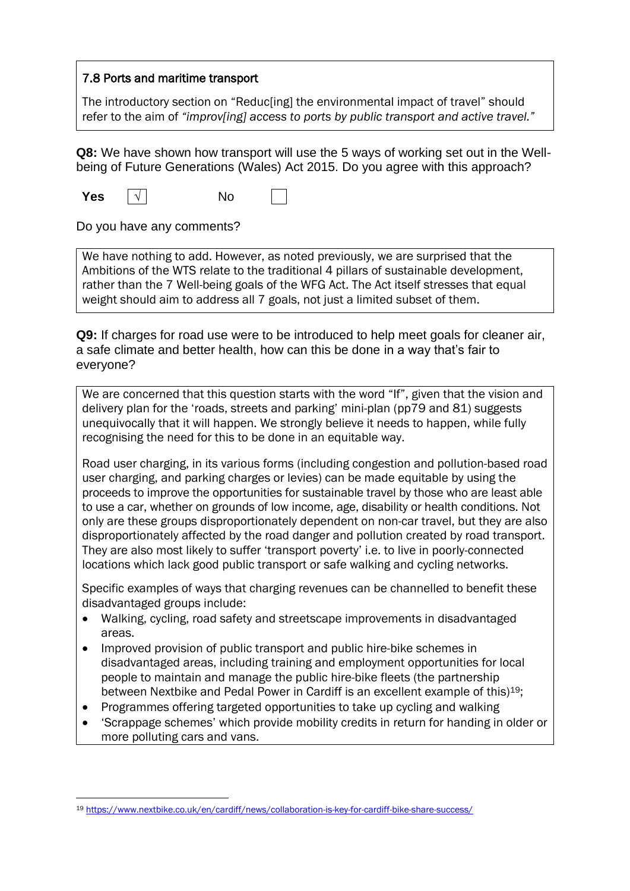#### 7.8 Ports and maritime transport

The introductory section on "Reduc[ing] the environmental impact of travel" should refer to the aim of *"improv[ing] access to ports by public transport and active travel."*

**Q8:** We have shown how transport will use the 5 ways of working set out in the Wellbeing of Future Generations (Wales) Act 2015. Do you agree with this approach?

**Yes**  $\vert \sqrt{} \vert$  No

Do you have any comments?

We have nothing to add. However, as noted previously, we are surprised that the Ambitions of the WTS relate to the traditional 4 pillars of sustainable development, rather than the 7 Well-being goals of the WFG Act. The Act itself stresses that equal weight should aim to address all 7 goals, not just a limited subset of them.

**Q9:** If charges for road use were to be introduced to help meet goals for cleaner air, a safe climate and better health, how can this be done in a way that's fair to everyone?

We are concerned that this question starts with the word "If", given that the vision and delivery plan for the 'roads, streets and parking' mini-plan (pp79 and 81) suggests unequivocally that it will happen. We strongly believe it needs to happen, while fully recognising the need for this to be done in an equitable way.

Road user charging, in its various forms (including congestion and pollution-based road user charging, and parking charges or levies) can be made equitable by using the proceeds to improve the opportunities for sustainable travel by those who are least able to use a car, whether on grounds of low income, age, disability or health conditions. Not only are these groups disproportionately dependent on non-car travel, but they are also disproportionately affected by the road danger and pollution created by road transport. They are also most likely to suffer 'transport poverty' i.e. to live in poorly-connected locations which lack good public transport or safe walking and cycling networks.

Specific examples of ways that charging revenues can be channelled to benefit these disadvantaged groups include:

- Walking, cycling, road safety and streetscape improvements in disadvantaged areas.
- Improved provision of public transport and public hire-bike schemes in disadvantaged areas, including training and employment opportunities for local people to maintain and manage the public hire-bike fleets (the partnership between Nextbike and Pedal Power in Cardiff is an excellent example of this)19;
- Programmes offering targeted opportunities to take up cycling and walking
- 'Scrappage schemes' which provide mobility credits in return for handing in older or more polluting cars and vans.

<sup>19</sup> <https://www.nextbike.co.uk/en/cardiff/news/collaboration-is-key-for-cardiff-bike-share-success/>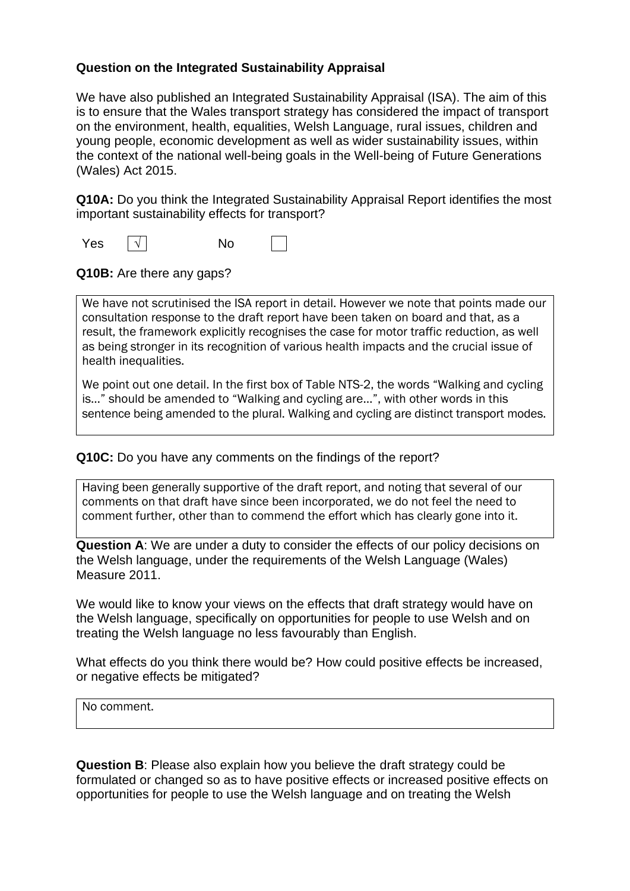#### **Question on the Integrated Sustainability Appraisal**

We have also published an Integrated Sustainability Appraisal (ISA). The aim of this is to ensure that the Wales transport strategy has considered the impact of transport on the environment, health, equalities, Welsh Language, rural issues, children and young people, economic development as well as wider sustainability issues, within the context of the national well-being goals in the Well-being of Future Generations (Wales) Act 2015.

**Q10A:** Do you think the Integrated Sustainability Appraisal Report identifies the most important sustainability effects for transport?

Yes <u>│</u> √ │ No

**Q10B:** Are there any gaps?

We have not scrutinised the ISA report in detail. However we note that points made our consultation response to the draft report have been taken on board and that, as a result, the framework explicitly recognises the case for motor traffic reduction, as well as being stronger in its recognition of various health impacts and the crucial issue of health inequalities.

We point out one detail. In the first box of Table NTS-2, the words "Walking and cycling is…" should be amended to "Walking and cycling are…", with other words in this sentence being amended to the plural. Walking and cycling are distinct transport modes.

**Q10C:** Do you have any comments on the findings of the report?

Having been generally supportive of the draft report, and noting that several of our comments on that draft have since been incorporated, we do not feel the need to comment further, other than to commend the effort which has clearly gone into it.

**Question A**: We are under a duty to consider the effects of our policy decisions on the Welsh language, under the requirements of the Welsh Language (Wales) Measure 2011.

We would like to know your views on the effects that draft strategy would have on the Welsh language, specifically on opportunities for people to use Welsh and on treating the Welsh language no less favourably than English.

What effects do you think there would be? How could positive effects be increased, or negative effects be mitigated?

No comment.

**Question B**: Please also explain how you believe the draft strategy could be formulated or changed so as to have positive effects or increased positive effects on opportunities for people to use the Welsh language and on treating the Welsh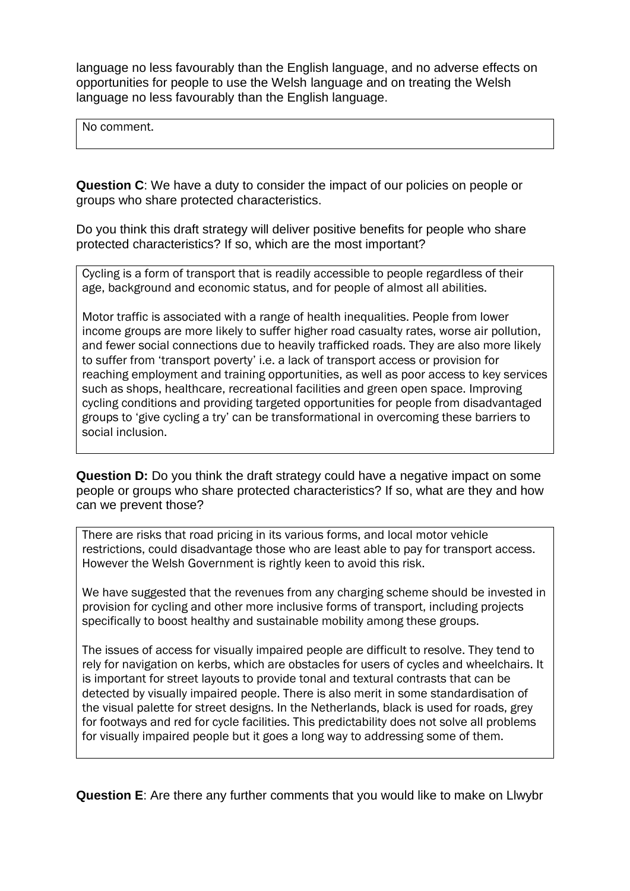language no less favourably than the English language, and no adverse effects on opportunities for people to use the Welsh language and on treating the Welsh language no less favourably than the English language.

No comment.

**Question C**: We have a duty to consider the impact of our policies on people or groups who share protected characteristics.

Do you think this draft strategy will deliver positive benefits for people who share protected characteristics? If so, which are the most important?

Cycling is a form of transport that is readily accessible to people regardless of their age, background and economic status, and for people of almost all abilities.

Motor traffic is associated with a range of health inequalities. People from lower income groups are more likely to suffer higher road casualty rates, worse air pollution, and fewer social connections due to heavily trafficked roads. They are also more likely to suffer from 'transport poverty' i.e. a lack of transport access or provision for reaching employment and training opportunities, as well as poor access to key services such as shops, healthcare, recreational facilities and green open space. Improving cycling conditions and providing targeted opportunities for people from disadvantaged groups to 'give cycling a try' can be transformational in overcoming these barriers to social inclusion.

**Question D:** Do you think the draft strategy could have a negative impact on some people or groups who share protected characteristics? If so, what are they and how can we prevent those?

There are risks that road pricing in its various forms, and local motor vehicle restrictions, could disadvantage those who are least able to pay for transport access. However the Welsh Government is rightly keen to avoid this risk.

We have suggested that the revenues from any charging scheme should be invested in provision for cycling and other more inclusive forms of transport, including projects specifically to boost healthy and sustainable mobility among these groups.

The issues of access for visually impaired people are difficult to resolve. They tend to rely for navigation on kerbs, which are obstacles for users of cycles and wheelchairs. It is important for street layouts to provide tonal and textural contrasts that can be detected by visually impaired people. There is also merit in some standardisation of the visual palette for street designs. In the Netherlands, black is used for roads, grey for footways and red for cycle facilities. This predictability does not solve all problems for visually impaired people but it goes a long way to addressing some of them.

**Question E**: Are there any further comments that you would like to make on Llwybr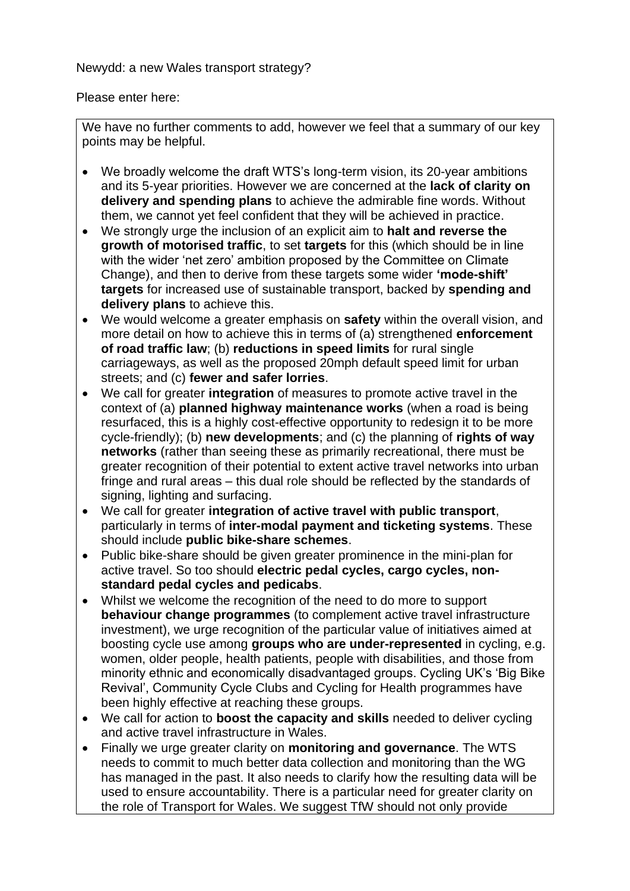Newydd: a new Wales transport strategy?

Please enter here:

We have no further comments to add, however we feel that a summary of our key points may be helpful.

- We broadly welcome the draft WTS's long-term vision, its 20-year ambitions and its 5-year priorities. However we are concerned at the **lack of clarity on delivery and spending plans** to achieve the admirable fine words. Without them, we cannot yet feel confident that they will be achieved in practice.
- We strongly urge the inclusion of an explicit aim to **halt and reverse the growth of motorised traffic**, to set **targets** for this (which should be in line with the wider 'net zero' ambition proposed by the Committee on Climate Change), and then to derive from these targets some wider **'mode-shift' targets** for increased use of sustainable transport, backed by **spending and delivery plans** to achieve this.
- We would welcome a greater emphasis on **safety** within the overall vision, and more detail on how to achieve this in terms of (a) strengthened **enforcement of road traffic law**; (b) **reductions in speed limits** for rural single carriageways, as well as the proposed 20mph default speed limit for urban streets; and (c) **fewer and safer lorries**.
- We call for greater **integration** of measures to promote active travel in the context of (a) **planned highway maintenance works** (when a road is being resurfaced, this is a highly cost-effective opportunity to redesign it to be more cycle-friendly); (b) **new developments**; and (c) the planning of **rights of way networks** (rather than seeing these as primarily recreational, there must be greater recognition of their potential to extent active travel networks into urban fringe and rural areas – this dual role should be reflected by the standards of signing, lighting and surfacing.
- We call for greater **integration of active travel with public transport**, particularly in terms of **inter-modal payment and ticketing systems**. These should include **public bike-share schemes**.
- Public bike-share should be given greater prominence in the mini-plan for active travel. So too should **electric pedal cycles, cargo cycles, nonstandard pedal cycles and pedicabs**.
- Whilst we welcome the recognition of the need to do more to support **behaviour change programmes** (to complement active travel infrastructure investment), we urge recognition of the particular value of initiatives aimed at boosting cycle use among **groups who are under-represented** in cycling, e.g. women, older people, health patients, people with disabilities, and those from minority ethnic and economically disadvantaged groups. Cycling UK's 'Big Bike Revival', Community Cycle Clubs and Cycling for Health programmes have been highly effective at reaching these groups.
- We call for action to **boost the capacity and skills** needed to deliver cycling and active travel infrastructure in Wales.
- Finally we urge greater clarity on **monitoring and governance**. The WTS needs to commit to much better data collection and monitoring than the WG has managed in the past. It also needs to clarify how the resulting data will be used to ensure accountability. There is a particular need for greater clarity on the role of Transport for Wales. We suggest TfW should not only provide